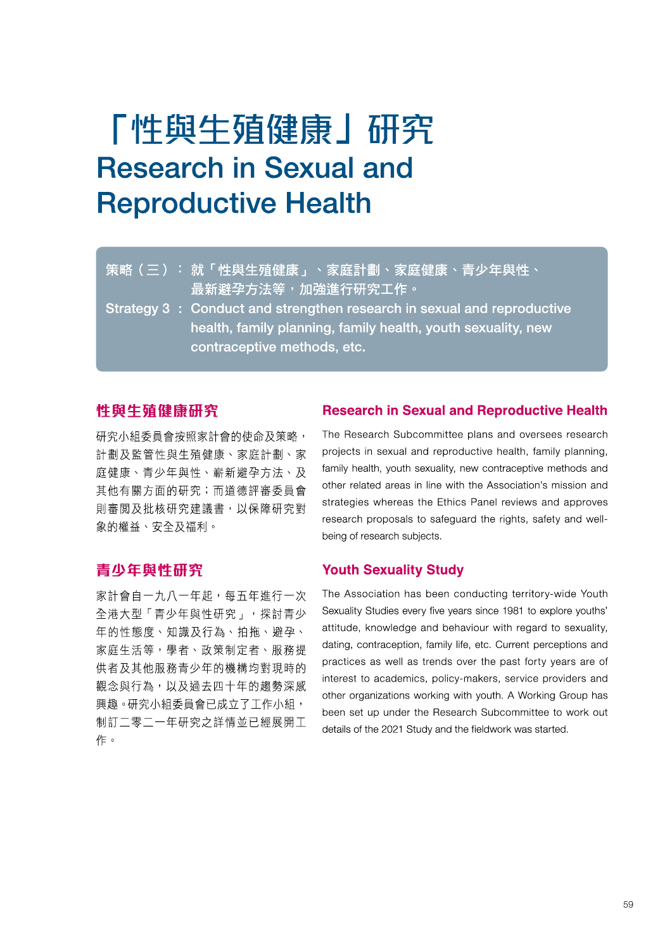# 「性與生殖健康」研究 Research in Sexual and **Reproductive Health**

- 策略(三):就「性與生殖健康」、家庭計劃、家庭健康、青少年與性、 最新避孕方法等,加強進行研究工作。
- Strategy 3 : Conduct and strengthen research in sexual and reproductive health, family planning, family health, youth sexuality, new contraceptive methods, etc.

## 性與生殖健龐研究

研究小組委員會按照家計會的使命及策略, 計劃及監管性與生殖健原、家庭計劃、家 庭健康、青少年與性丶嶄新避孕方法、及 其他有關方面的研究;而道德評審委員會 則審閲及批核研究建議書,以保障硏究對 象的權益丶安全及福利。

#### **Research in Sexual and Reproductive Health**

The Research Subcommittee plans and oversees research projects in sexual and reproductive health, family planning, family health, youth sexuality, new contraceptive methods and other related areas in line with the Association's mission and strategies whereas the Ethics Panel reviews and approves research proposals to safeguard the rights, safety and wellbeing of research subjects.

# 青少年與性研究

家計會自一九八一年起,每五年進行一次 全港大型「青少年與性研究」,探討青少 年的性態度丶知識及行為、拍拖、避孕丶 家庭生活等,學者、政策制定者、服務提 供者及其他服務青少年的機構均對現時的 觀念與行為,以及過去四十年的趨勢深咸 興趣。研究小組委員會已成立了工作小紐, 制訂二零二一年研究之詳情並已經展開工 作。

#### **Youth Sexuality Study**

The Association has been conducting territory-wide Youth Sexuality Studies every five years since 1981 to explore youths' attitude, knowledge and behaviour with regard to sexuality, dating, contraception, family life, etc. Current perceptions and practices as well as trends over the past forty years are of interest to academics, policy-makers, service providers and other organizations working with youth. A Working Group has been set up under the Research Subcommittee to work out details of the 2021 Study and the fieldwork was started.